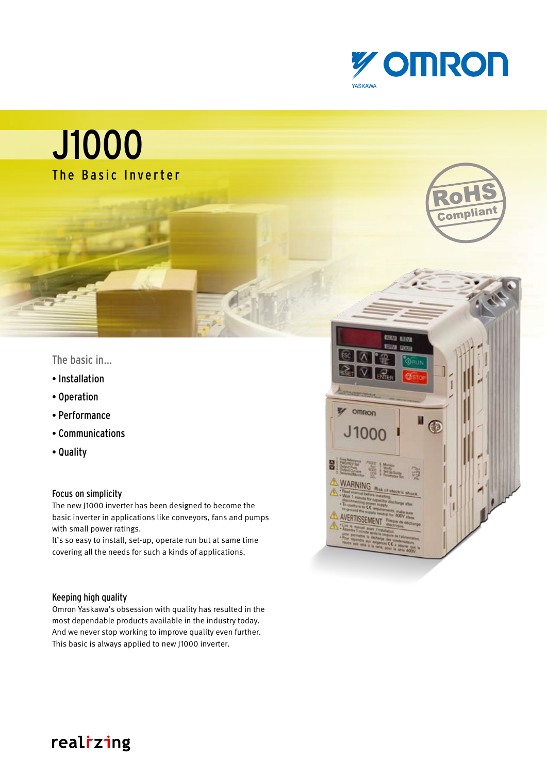

## J1000 The Basic Inverter

### The basic in…

- Installation
- Operation
- Performance
- Communications
- Quality

### Focus on simplicity

The new J1000 inverter has been designed to become the basic inverter in applications like conveyors, fans and pumps with small power ratings.

It's so easy to install, set-up, operate run but at same time covering all the needs for such a kinds of applications.

### Keeping high quality

Omron Yaskawa's obsession with quality has resulted in the most dependable products available in the industry today. And we never stop working to improve quality even further. This basic is always applied to new J1000 inverter.